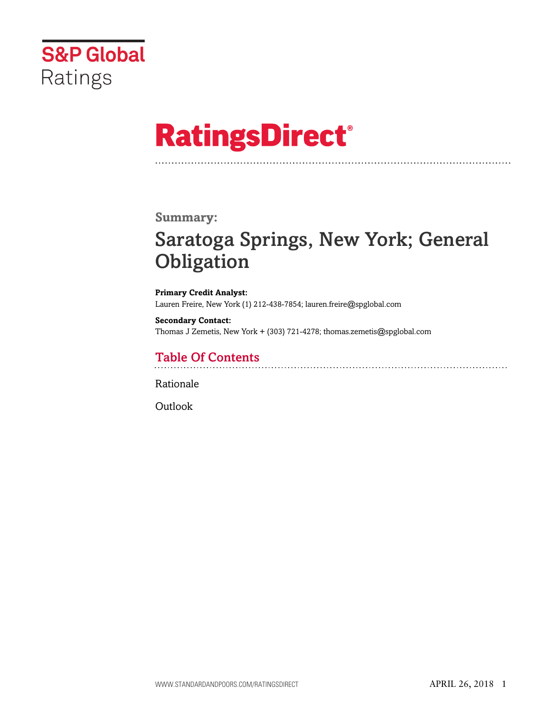

# **RatingsDirect®**

### **Summary:**

# Saratoga Springs, New York; General **Obligation**

**Primary Credit Analyst:** Lauren Freire, New York (1) 212-438-7854; lauren.freire@spglobal.com

**Secondary Contact:** Thomas J Zemetis, New York + (303) 721-4278; thomas.zemetis@spglobal.com

# Table Of Contents

[Rationale](#page-1-0)

[Outlook](#page-4-0)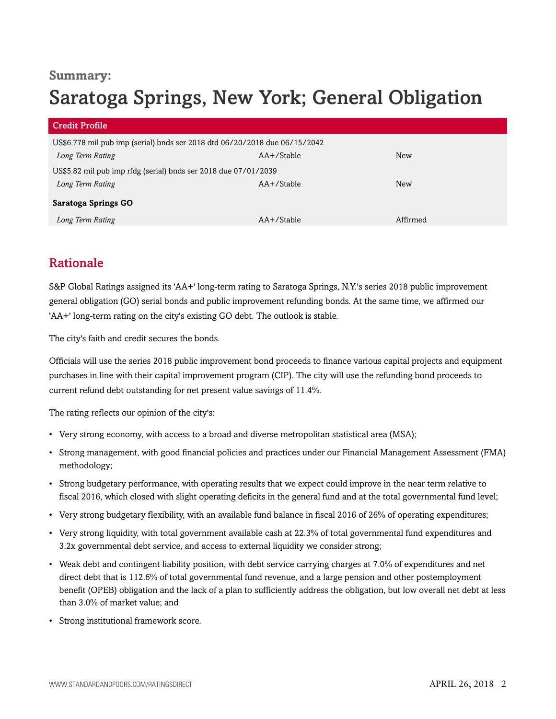## **Summary:**

# Saratoga Springs, New York; General Obligation

| <b>Credit Profile</b>                                                      |               |            |
|----------------------------------------------------------------------------|---------------|------------|
| US\$6.778 mil pub imp (serial) bnds ser 2018 dtd 06/20/2018 due 06/15/2042 |               |            |
| Long Term Rating                                                           | $AA+$ /Stable | <b>New</b> |
| US\$5.82 mil pub imp rfdg (serial) bnds ser 2018 due 07/01/2039            |               |            |
| Long Term Rating                                                           | $AA+$ /Stable | <b>New</b> |
| <b>Saratoga Springs GO</b>                                                 |               |            |
| Long Term Rating                                                           | AA+/Stable    | Affirmed   |

# <span id="page-1-0"></span>Rationale

S&P Global Ratings assigned its 'AA+' long-term rating to Saratoga Springs, N.Y.'s series 2018 public improvement general obligation (GO) serial bonds and public improvement refunding bonds. At the same time, we affirmed our 'AA+' long-term rating on the city's existing GO debt. The outlook is stable.

The city's faith and credit secures the bonds.

Officials will use the series 2018 public improvement bond proceeds to finance various capital projects and equipment purchases in line with their capital improvement program (CIP). The city will use the refunding bond proceeds to current refund debt outstanding for net present value savings of 11.4%.

The rating reflects our opinion of the city's:

- Very strong economy, with access to a broad and diverse metropolitan statistical area (MSA);
- Strong management, with good financial policies and practices under our Financial Management Assessment (FMA) methodology;
- Strong budgetary performance, with operating results that we expect could improve in the near term relative to fiscal 2016, which closed with slight operating deficits in the general fund and at the total governmental fund level;
- Very strong budgetary flexibility, with an available fund balance in fiscal 2016 of 26% of operating expenditures;
- Very strong liquidity, with total government available cash at 22.3% of total governmental fund expenditures and 3.2x governmental debt service, and access to external liquidity we consider strong;
- Weak debt and contingent liability position, with debt service carrying charges at 7.0% of expenditures and net direct debt that is 112.6% of total governmental fund revenue, and a large pension and other postemployment benefit (OPEB) obligation and the lack of a plan to sufficiently address the obligation, but low overall net debt at less than 3.0% of market value; and
- Strong institutional framework score.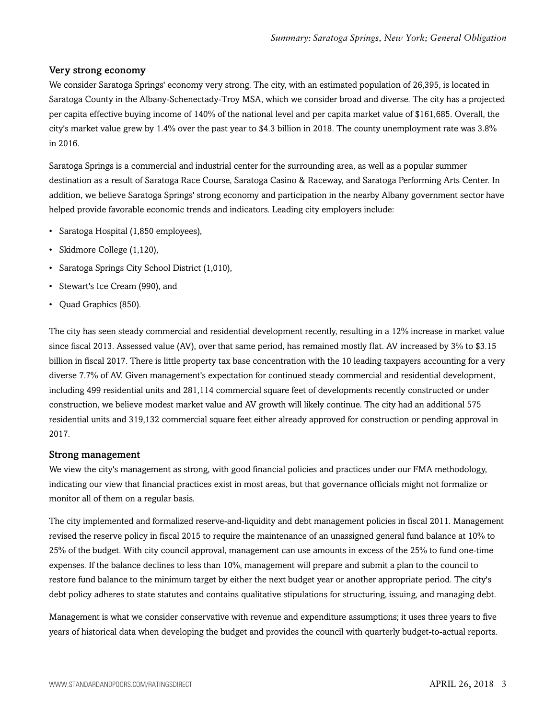#### Very strong economy

We consider Saratoga Springs' economy very strong. The city, with an estimated population of 26,395, is located in Saratoga County in the Albany-Schenectady-Troy MSA, which we consider broad and diverse. The city has a projected per capita effective buying income of 140% of the national level and per capita market value of \$161,685. Overall, the city's market value grew by 1.4% over the past year to \$4.3 billion in 2018. The county unemployment rate was 3.8% in 2016.

Saratoga Springs is a commercial and industrial center for the surrounding area, as well as a popular summer destination as a result of Saratoga Race Course, Saratoga Casino & Raceway, and Saratoga Performing Arts Center. In addition, we believe Saratoga Springs' strong economy and participation in the nearby Albany government sector have helped provide favorable economic trends and indicators. Leading city employers include:

- Saratoga Hospital (1,850 employees),
- Skidmore College (1,120),
- Saratoga Springs City School District (1,010),
- Stewart's Ice Cream (990), and
- Quad Graphics (850).

The city has seen steady commercial and residential development recently, resulting in a 12% increase in market value since fiscal 2013. Assessed value (AV), over that same period, has remained mostly flat. AV increased by 3% to \$3.15 billion in fiscal 2017. There is little property tax base concentration with the 10 leading taxpayers accounting for a very diverse 7.7% of AV. Given management's expectation for continued steady commercial and residential development, including 499 residential units and 281,114 commercial square feet of developments recently constructed or under construction, we believe modest market value and AV growth will likely continue. The city had an additional 575 residential units and 319,132 commercial square feet either already approved for construction or pending approval in 2017.

#### Strong management

We view the city's management as strong, with good financial policies and practices under our FMA methodology, indicating our view that financial practices exist in most areas, but that governance officials might not formalize or monitor all of them on a regular basis.

The city implemented and formalized reserve-and-liquidity and debt management policies in fiscal 2011. Management revised the reserve policy in fiscal 2015 to require the maintenance of an unassigned general fund balance at 10% to 25% of the budget. With city council approval, management can use amounts in excess of the 25% to fund one-time expenses. If the balance declines to less than 10%, management will prepare and submit a plan to the council to restore fund balance to the minimum target by either the next budget year or another appropriate period. The city's debt policy adheres to state statutes and contains qualitative stipulations for structuring, issuing, and managing debt.

Management is what we consider conservative with revenue and expenditure assumptions; it uses three years to five years of historical data when developing the budget and provides the council with quarterly budget-to-actual reports.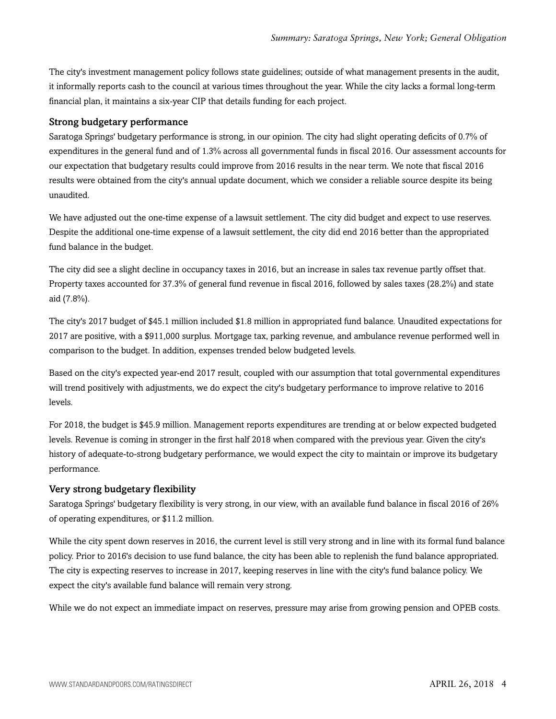The city's investment management policy follows state guidelines; outside of what management presents in the audit, it informally reports cash to the council at various times throughout the year. While the city lacks a formal long-term financial plan, it maintains a six-year CIP that details funding for each project.

#### Strong budgetary performance

Saratoga Springs' budgetary performance is strong, in our opinion. The city had slight operating deficits of 0.7% of expenditures in the general fund and of 1.3% across all governmental funds in fiscal 2016. Our assessment accounts for our expectation that budgetary results could improve from 2016 results in the near term. We note that fiscal 2016 results were obtained from the city's annual update document, which we consider a reliable source despite its being unaudited.

We have adjusted out the one-time expense of a lawsuit settlement. The city did budget and expect to use reserves. Despite the additional one-time expense of a lawsuit settlement, the city did end 2016 better than the appropriated fund balance in the budget.

The city did see a slight decline in occupancy taxes in 2016, but an increase in sales tax revenue partly offset that. Property taxes accounted for 37.3% of general fund revenue in fiscal 2016, followed by sales taxes (28.2%) and state aid (7.8%).

The city's 2017 budget of \$45.1 million included \$1.8 million in appropriated fund balance. Unaudited expectations for 2017 are positive, with a \$911,000 surplus. Mortgage tax, parking revenue, and ambulance revenue performed well in comparison to the budget. In addition, expenses trended below budgeted levels.

Based on the city's expected year-end 2017 result, coupled with our assumption that total governmental expenditures will trend positively with adjustments, we do expect the city's budgetary performance to improve relative to 2016 levels.

For 2018, the budget is \$45.9 million. Management reports expenditures are trending at or below expected budgeted levels. Revenue is coming in stronger in the first half 2018 when compared with the previous year. Given the city's history of adequate-to-strong budgetary performance, we would expect the city to maintain or improve its budgetary performance.

#### Very strong budgetary flexibility

Saratoga Springs' budgetary flexibility is very strong, in our view, with an available fund balance in fiscal 2016 of 26% of operating expenditures, or \$11.2 million.

While the city spent down reserves in 2016, the current level is still very strong and in line with its formal fund balance policy. Prior to 2016's decision to use fund balance, the city has been able to replenish the fund balance appropriated. The city is expecting reserves to increase in 2017, keeping reserves in line with the city's fund balance policy. We expect the city's available fund balance will remain very strong.

While we do not expect an immediate impact on reserves, pressure may arise from growing pension and OPEB costs.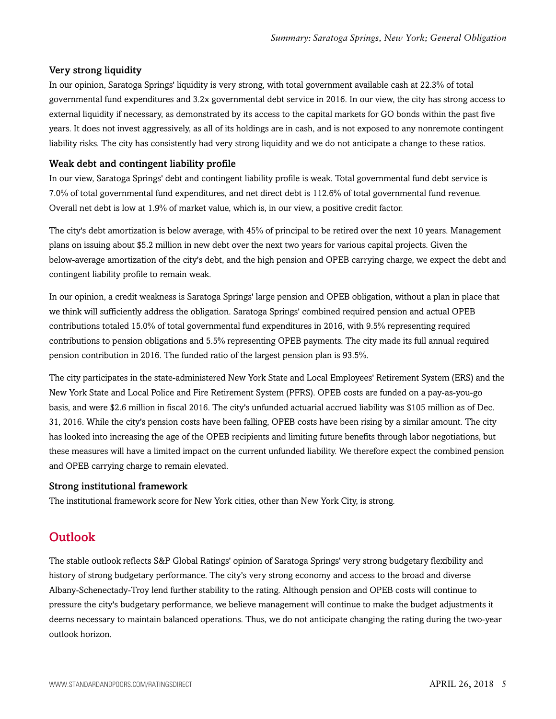#### Very strong liquidity

In our opinion, Saratoga Springs' liquidity is very strong, with total government available cash at 22.3% of total governmental fund expenditures and 3.2x governmental debt service in 2016. In our view, the city has strong access to external liquidity if necessary, as demonstrated by its access to the capital markets for GO bonds within the past five years. It does not invest aggressively, as all of its holdings are in cash, and is not exposed to any nonremote contingent liability risks. The city has consistently had very strong liquidity and we do not anticipate a change to these ratios.

#### Weak debt and contingent liability profile

In our view, Saratoga Springs' debt and contingent liability profile is weak. Total governmental fund debt service is 7.0% of total governmental fund expenditures, and net direct debt is 112.6% of total governmental fund revenue. Overall net debt is low at 1.9% of market value, which is, in our view, a positive credit factor.

The city's debt amortization is below average, with 45% of principal to be retired over the next 10 years. Management plans on issuing about \$5.2 million in new debt over the next two years for various capital projects. Given the below-average amortization of the city's debt, and the high pension and OPEB carrying charge, we expect the debt and contingent liability profile to remain weak.

In our opinion, a credit weakness is Saratoga Springs' large pension and OPEB obligation, without a plan in place that we think will sufficiently address the obligation. Saratoga Springs' combined required pension and actual OPEB contributions totaled 15.0% of total governmental fund expenditures in 2016, with 9.5% representing required contributions to pension obligations and 5.5% representing OPEB payments. The city made its full annual required pension contribution in 2016. The funded ratio of the largest pension plan is 93.5%.

The city participates in the state-administered New York State and Local Employees' Retirement System (ERS) and the New York State and Local Police and Fire Retirement System (PFRS). OPEB costs are funded on a pay-as-you-go basis, and were \$2.6 million in fiscal 2016. The city's unfunded actuarial accrued liability was \$105 million as of Dec. 31, 2016. While the city's pension costs have been falling, OPEB costs have been rising by a similar amount. The city has looked into increasing the age of the OPEB recipients and limiting future benefits through labor negotiations, but these measures will have a limited impact on the current unfunded liability. We therefore expect the combined pension and OPEB carrying charge to remain elevated.

#### Strong institutional framework

<span id="page-4-0"></span>The institutional framework score for New York cities, other than New York City, is strong.

### **Outlook**

The stable outlook reflects S&P Global Ratings' opinion of Saratoga Springs' very strong budgetary flexibility and history of strong budgetary performance. The city's very strong economy and access to the broad and diverse Albany-Schenectady-Troy lend further stability to the rating. Although pension and OPEB costs will continue to pressure the city's budgetary performance, we believe management will continue to make the budget adjustments it deems necessary to maintain balanced operations. Thus, we do not anticipate changing the rating during the two-year outlook horizon.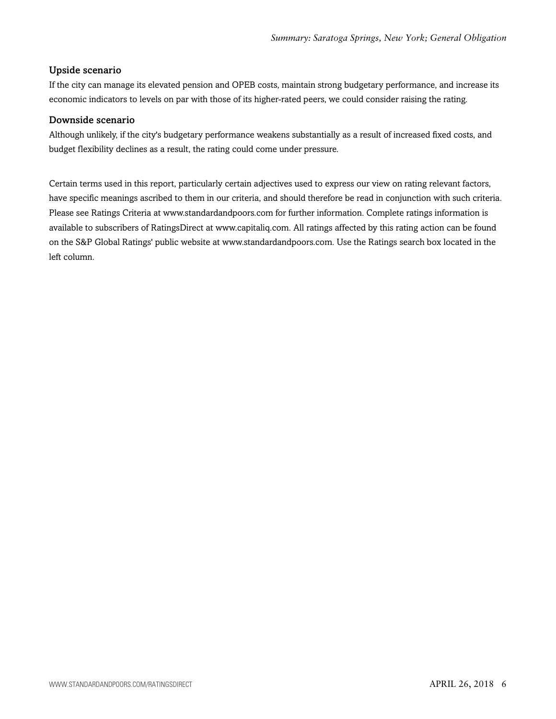#### Upside scenario

If the city can manage its elevated pension and OPEB costs, maintain strong budgetary performance, and increase its economic indicators to levels on par with those of its higher-rated peers, we could consider raising the rating.

#### Downside scenario

Although unlikely, if the city's budgetary performance weakens substantially as a result of increased fixed costs, and budget flexibility declines as a result, the rating could come under pressure.

Certain terms used in this report, particularly certain adjectives used to express our view on rating relevant factors, have specific meanings ascribed to them in our criteria, and should therefore be read in conjunction with such criteria. Please see Ratings Criteria at www.standardandpoors.com for further information. Complete ratings information is available to subscribers of RatingsDirect at www.capitaliq.com. All ratings affected by this rating action can be found on the S&P Global Ratings' public website at www.standardandpoors.com. Use the Ratings search box located in the left column.